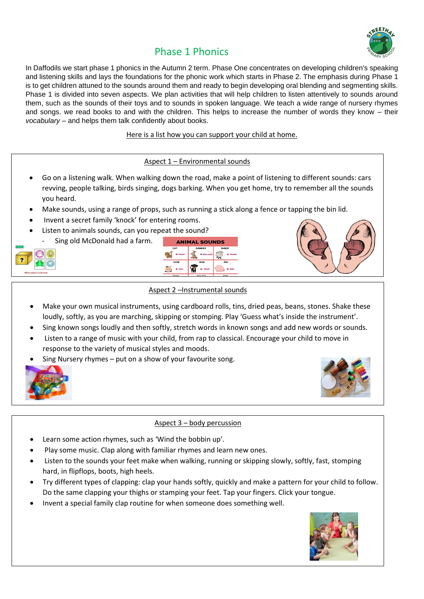

# Phase 1 Phonics

In Daffodils we start phase 1 phonics in the Autumn 2 term. Phase One concentrates on developing children's speaking and listening skills and lays the foundations for the phonic work which starts in Phase 2. The emphasis during Phase 1 is to get children attuned to the sounds around them and ready to begin developing oral blending and segmenting skills. Phase 1 is divided into seven aspects. We plan activities that will help children to listen attentively to sounds around them, such as the sounds of their toys and to sounds in spoken language. We teach a wide range of nursery rhymes and songs. we read books to and with the children. This helps to increase the number of words they know – their *vocabulary* – and helps them talk confidently about books.

Here is a list how you can support your child at home.

# Aspect 1 – Environmental sounds

- Go on a listening walk. When walking down the road, make a point of listening to different sounds: cars revving, people talking, birds singing, dogs barking. When you get home, try to remember all the sounds you heard.
- Make sounds, using a range of props, such as running a stick along a fence or tapping the bin lid.
- Invent a secret family 'knock' for entering rooms.
- Listen to animals sounds, can you repeat the sound?
	- Sing old McDonald had a farm.







#### Aspect 2 –Instrumental sounds

- Make your own musical instruments, using cardboard rolls, tins, dried peas, beans, stones. Shake these loudly, softly, as you are marching, skipping or stomping. Play 'Guess what's inside the instrument'.
- Sing known songs loudly and then softly, stretch words in known songs and add new words or sounds.
- Listen to a range of music with your child, from rap to classical. Encourage your child to move in response to the variety of musical styles and moods.
- Sing Nursery rhymes put on a show of your favourite song.





# Aspect 3 – body percussion

- Learn some action rhymes, such as 'Wind the bobbin up'.
- Play some music. Clap along with familiar rhymes and learn new ones.
- Listen to the sounds your feet make when walking, running or skipping slowly, softly, fast, stomping hard, in flipflops, boots, high heels.
- Try different types of clapping: clap your hands softly, quickly and make a pattern for your child to follow. Do the same clapping your thighs or stamping your feet. Tap your fingers. Click your tongue.
- Invent a special family clap routine for when someone does something well.